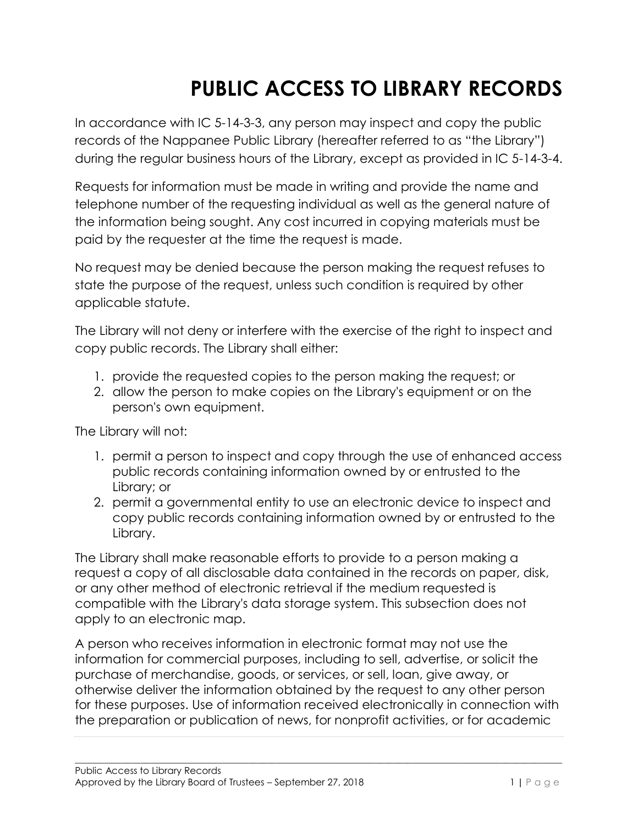# **PUBLIC ACCESS TO LIBRARY RECORDS**

In accordance with IC 5-14-3-3, any person may inspect and copy the public records of the Nappanee Public Library (hereafter referred to as "the Library") during the regular business hours of the Library, except as provided in IC 5-14-3-4.

Requests for information must be made in writing and provide the name and telephone number of the requesting individual as well as the general nature of the information being sought. Any cost incurred in copying materials must be paid by the requester at the time the request is made.

No request may be denied because the person making the request refuses to state the purpose of the request, unless such condition is required by other applicable statute.

The Library will not deny or interfere with the exercise of the right to inspect and copy public records. The Library shall either:

- 1. provide the requested copies to the person making the request; or
- 2. allow the person to make copies on the Library's equipment or on the person's own equipment.

The Library will not:

- 1. permit a person to inspect and copy through the use of enhanced access public records containing information owned by or entrusted to the Library; or
- 2. permit a governmental entity to use an electronic device to inspect and copy public records containing information owned by or entrusted to the Library.

The Library shall make reasonable efforts to provide to a person making a request a copy of all disclosable data contained in the records on paper, disk, or any other method of electronic retrieval if the medium requested is compatible with the Library's data storage system. This subsection does not apply to an electronic map.

A person who receives information in electronic format may not use the information for commercial purposes, including to sell, advertise, or solicit the purchase of merchandise, goods, or services, or sell, loan, give away, or otherwise deliver the information obtained by the request to any other person for these purposes. Use of information received electronically in connection with the preparation or publication of news, for nonprofit activities, or for academic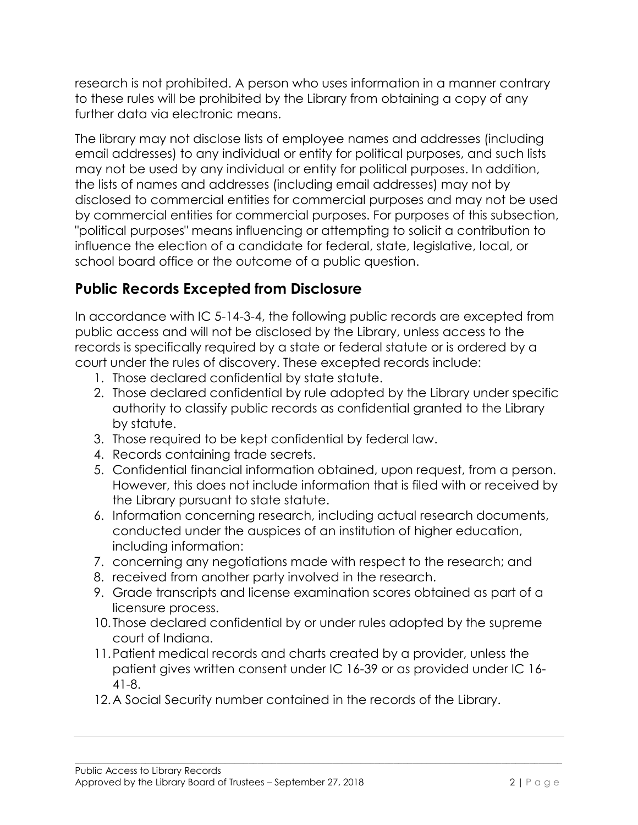research is not prohibited. A person who uses information in a manner contrary to these rules will be prohibited by the Library from obtaining a copy of any further data via electronic means.

The library may not disclose lists of employee names and addresses (including email addresses) to any individual or entity for political purposes, and such lists may not be used by any individual or entity for political purposes. In addition, the lists of names and addresses (including email addresses) may not by disclosed to commercial entities for commercial purposes and may not be used by commercial entities for commercial purposes. For purposes of this subsection, "political purposes" means influencing or attempting to solicit a contribution to influence the election of a candidate for federal, state, legislative, local, or school board office or the outcome of a public question.

### **Public Records Excepted from Disclosure**

In accordance with IC 5-14-3-4, the following public records are excepted from public access and will not be disclosed by the Library, unless access to the records is specifically required by a state or federal statute or is ordered by a court under the rules of discovery. These excepted records include:

- 1. Those declared confidential by state statute.
- 2. Those declared confidential by rule adopted by the Library under specific authority to classify public records as confidential granted to the Library by statute.
- 3. Those required to be kept confidential by federal law.
- 4. Records containing trade secrets.
- 5. Confidential financial information obtained, upon request, from a person. However, this does not include information that is filed with or received by the Library pursuant to state statute.
- 6. Information concerning research, including actual research documents, conducted under the auspices of an institution of higher education, including information:
- 7. concerning any negotiations made with respect to the research; and
- 8. received from another party involved in the research.
- 9. Grade transcripts and license examination scores obtained as part of a licensure process.
- 10. Those declared confidential by or under rules adopted by the supreme court of Indiana.
- 11.Patient medical records and charts created by a provider, unless the patient gives written consent under IC 16-39 or as provided under IC 16- 41-8.

 $\bot$  , and the contribution of the contribution of the contribution of the contribution of the contribution of the contribution of the contribution of the contribution of the contribution of the contribution of the contri

12.A Social Security number contained in the records of the Library.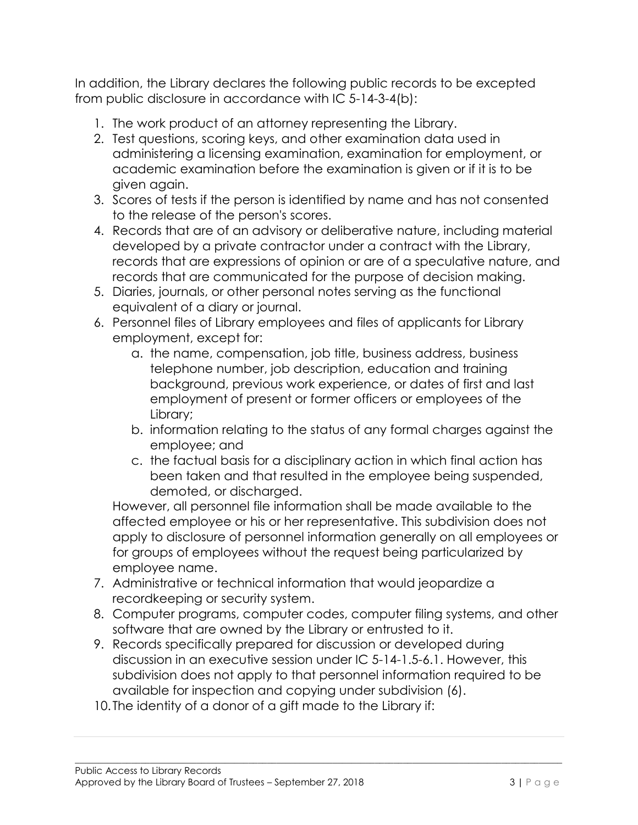In addition, the Library declares the following public records to be excepted from public disclosure in accordance with IC 5-14-3-4(b):

- 1. The work product of an attorney representing the Library.
- 2. Test questions, scoring keys, and other examination data used in administering a licensing examination, examination for employment, or academic examination before the examination is given or if it is to be given again.
- 3. Scores of tests if the person is identified by name and has not consented to the release of the person's scores.
- 4. Records that are of an advisory or deliberative nature, including material developed by a private contractor under a contract with the Library, records that are expressions of opinion or are of a speculative nature, and records that are communicated for the purpose of decision making.
- 5. Diaries, journals, or other personal notes serving as the functional equivalent of a diary or journal.
- 6. Personnel files of Library employees and files of applicants for Library employment, except for:
	- a. the name, compensation, job title, business address, business telephone number, job description, education and training background, previous work experience, or dates of first and last employment of present or former officers or employees of the Library;
	- b. information relating to the status of any formal charges against the employee; and
	- c. the factual basis for a disciplinary action in which final action has been taken and that resulted in the employee being suspended, demoted, or discharged.

However, all personnel file information shall be made available to the affected employee or his or her representative. This subdivision does not apply to disclosure of personnel information generally on all employees or for groups of employees without the request being particularized by employee name.

- 7. Administrative or technical information that would jeopardize a recordkeeping or security system.
- 8. Computer programs, computer codes, computer filing systems, and other software that are owned by the Library or entrusted to it.
- 9. Records specifically prepared for discussion or developed during discussion in an executive session under IC 5-14-1.5-6.1. However, this subdivision does not apply to that personnel information required to be available for inspection and copying under subdivision (6).

 $\bot$  , and the contribution of the contribution of the contribution of the contribution of the contribution of the contribution of the contribution of the contribution of the contribution of the contribution of the contri

10. The identity of a donor of a gift made to the Library if: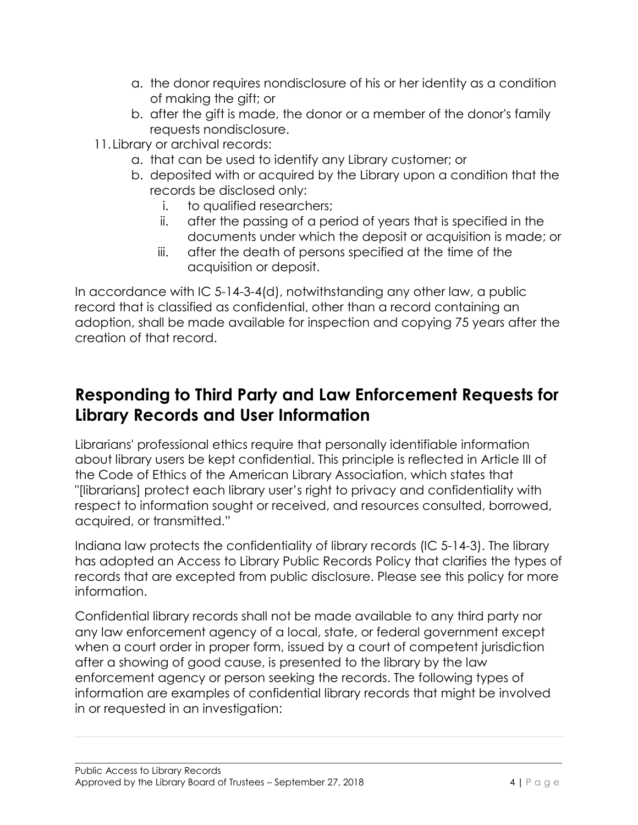- a. the donor requires nondisclosure of his or her identity as a condition of making the gift; or
- b. after the gift is made, the donor or a member of the donor's family requests nondisclosure.
- 11.Library or archival records:
	- a. that can be used to identify any Library customer; or
	- b. deposited with or acquired by the Library upon a condition that the records be disclosed only:
		- i. to qualified researchers;
		- ii. after the passing of a period of years that is specified in the documents under which the deposit or acquisition is made; or
		- iii. after the death of persons specified at the time of the acquisition or deposit.

In accordance with IC 5-14-3-4(d), notwithstanding any other law, a public record that is classified as confidential, other than a record containing an adoption, shall be made available for inspection and copying 75 years after the creation of that record.

## **Responding to Third Party and Law Enforcement Requests for Library Records and User Information**

Librarians' professional ethics require that personally identifiable information about library users be kept confidential. This principle is reflected in Article III of the Code of Ethics of the American Library Association, which states that "[librarians] protect each library user's right to privacy and confidentiality with respect to information sought or received, and resources consulted, borrowed, acquired, or transmitted."

Indiana law protects the confidentiality of library records (IC 5-14-3). The library has adopted an Access to Library Public Records Policy that clarifies the types of records that are excepted from public disclosure. Please see this policy for more information.

Confidential library records shall not be made available to any third party nor any law enforcement agency of a local, state, or federal government except when a court order in proper form, issued by a court of competent jurisdiction after a showing of good cause, is presented to the library by the law enforcement agency or person seeking the records. The following types of information are examples of confidential library records that might be involved in or requested in an investigation: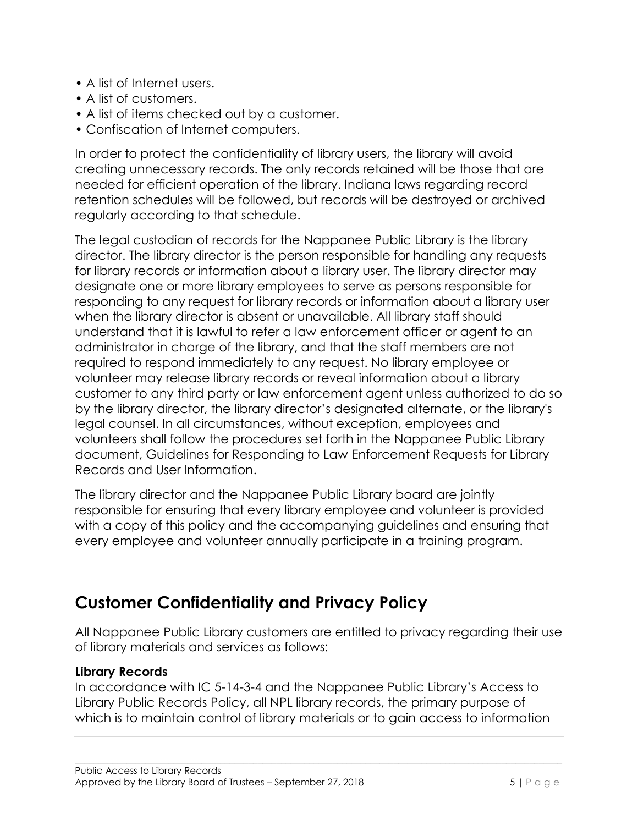- A list of Internet users.
- A list of customers.
- A list of items checked out by a customer.
- Confiscation of Internet computers.

In order to protect the confidentiality of library users, the library will avoid creating unnecessary records. The only records retained will be those that are needed for efficient operation of the library. Indiana laws regarding record retention schedules will be followed, but records will be destroyed or archived regularly according to that schedule.

The legal custodian of records for the Nappanee Public Library is the library director. The library director is the person responsible for handling any requests for library records or information about a library user. The library director may designate one or more library employees to serve as persons responsible for responding to any request for library records or information about a library user when the library director is absent or unavailable. All library staff should understand that it is lawful to refer a law enforcement officer or agent to an administrator in charge of the library, and that the staff members are not required to respond immediately to any request. No library employee or volunteer may release library records or reveal information about a library customer to any third party or law enforcement agent unless authorized to do so by the library director, the library director's designated alternate, or the library's legal counsel. In all circumstances, without exception, employees and volunteers shall follow the procedures set forth in the Nappanee Public Library document, Guidelines for Responding to Law Enforcement Requests for Library Records and User Information.

The library director and the Nappanee Public Library board are jointly responsible for ensuring that every library employee and volunteer is provided with a copy of this policy and the accompanying guidelines and ensuring that every employee and volunteer annually participate in a training program.

## **Customer Confidentiality and Privacy Policy**

All Nappanee Public Library customers are entitled to privacy regarding their use of library materials and services as follows:

#### **Library Records**

In accordance with IC 5-14-3-4 and the Nappanee Public Library's Access to Library Public Records Policy, all NPL library records, the primary purpose of which is to maintain control of library materials or to gain access to information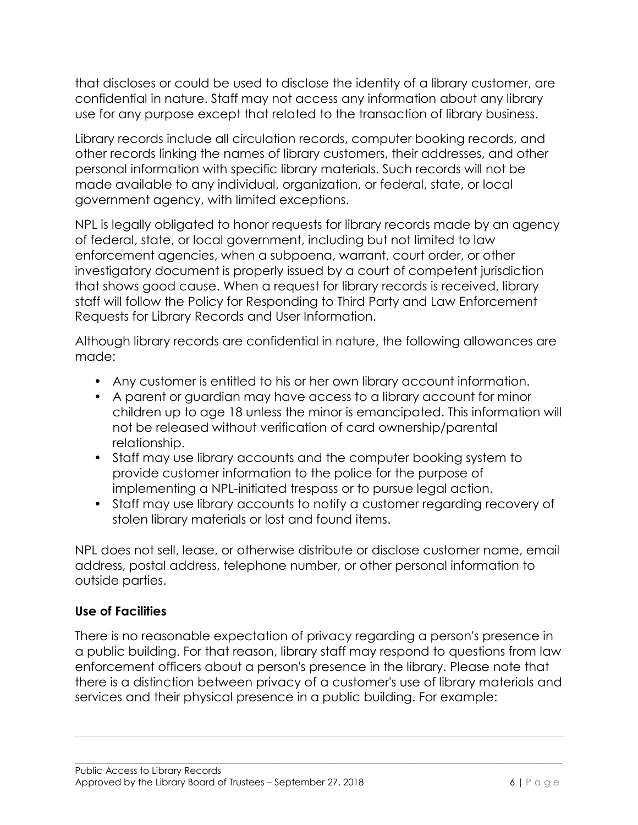that discloses or could be used to disclose the identity of a library customer, are confidential in nature. Staff may not access any information about any library use for any purpose except that related to the transaction of library business.

Library records include all circulation records, computer booking records, and other records linking the names of library customers, their addresses, and other personal information with specific library materials. Such records will not be made available to any individual, organization, or federal, state, or local government agency, with limited exceptions.

NPL is legally obligated to honor requests for library records made by an agency of federal, state, or local government, including but not limited to law enforcement agencies, when a subpoena, warrant, court order, or other investigatory document is properly issued by a court of competent jurisdiction that shows good cause. When a request for library records is received, library staff will follow the Policy for Responding to Third Party and Law Enforcement Requests for Library Records and User Information.

Although library records are confidential in nature, the following allowances are made:

- Any customer is entitled to his or her own library account information.
- A parent or guardian may have access to a library account for minor children up to age 18 unless the minor is emancipated. This information will not be released without verification of card ownership/parental relationship.
- Staff may use library accounts and the computer booking system to provide customer information to the police for the purpose of implementing a NPL-initiated trespass or to pursue legal action.
- Staff may use library accounts to notify a customer regarding recovery of stolen library materials or lost and found items.

NPL does not sell, lease, or otherwise distribute or disclose customer name, email address, postal address, telephone number, or other personal information to outside parties.

#### **Use of Facilities**

There is no reasonable expectation of privacy regarding a person's presence in a public building. For that reason, library staff may respond to questions from law enforcement officers about a person's presence in the library. Please note that there is a distinction between privacy of a customer's use of library materials and services and their physical presence in a public building. For example: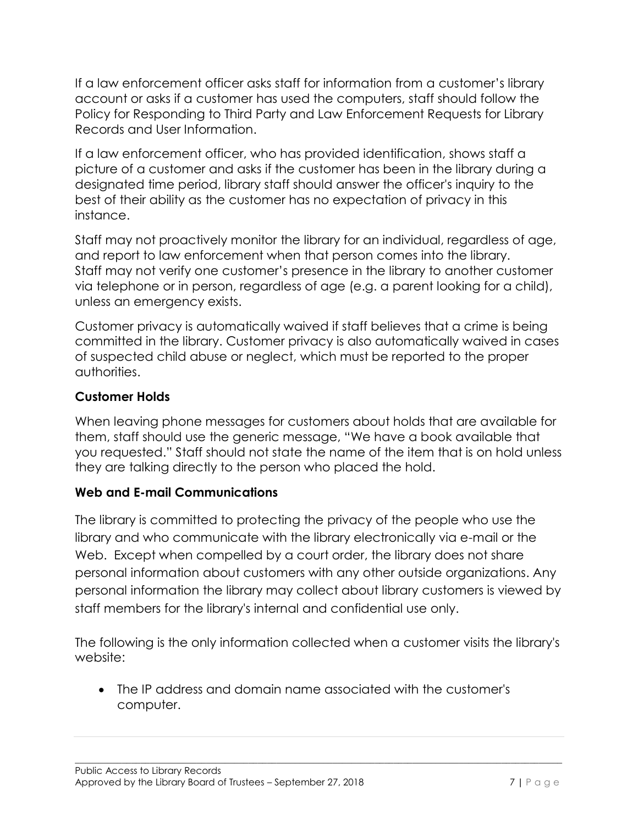If a law enforcement officer asks staff for information from a customer's library account or asks if a customer has used the computers, staff should follow the Policy for Responding to Third Party and Law Enforcement Requests for Library Records and User Information.

If a law enforcement officer, who has provided identification, shows staff a picture of a customer and asks if the customer has been in the library during a designated time period, library staff should answer the officer's inquiry to the best of their ability as the customer has no expectation of privacy in this instance.

Staff may not proactively monitor the library for an individual, regardless of age, and report to law enforcement when that person comes into the library. Staff may not verify one customer's presence in the library to another customer via telephone or in person, regardless of age (e.g. a parent looking for a child), unless an emergency exists.

Customer privacy is automatically waived if staff believes that a crime is being committed in the library. Customer privacy is also automatically waived in cases of suspected child abuse or neglect, which must be reported to the proper authorities.

#### **Customer Holds**

When leaving phone messages for customers about holds that are available for them, staff should use the generic message, "We have a book available that you requested." Staff should not state the name of the item that is on hold unless they are talking directly to the person who placed the hold.

#### **Web and E-mail Communications**

The library is committed to protecting the privacy of the people who use the library and who communicate with the library electronically via e-mail or the Web. Except when compelled by a court order, the library does not share personal information about customers with any other outside organizations. Any personal information the library may collect about library customers is viewed by staff members for the library's internal and confidential use only.

The following is the only information collected when a customer visits the library's website:

 $\bot$  , and the contribution of the contribution of the contribution of the contribution of the contribution of the contribution of the contribution of the contribution of the contribution of the contribution of the contri

 The IP address and domain name associated with the customer's computer.